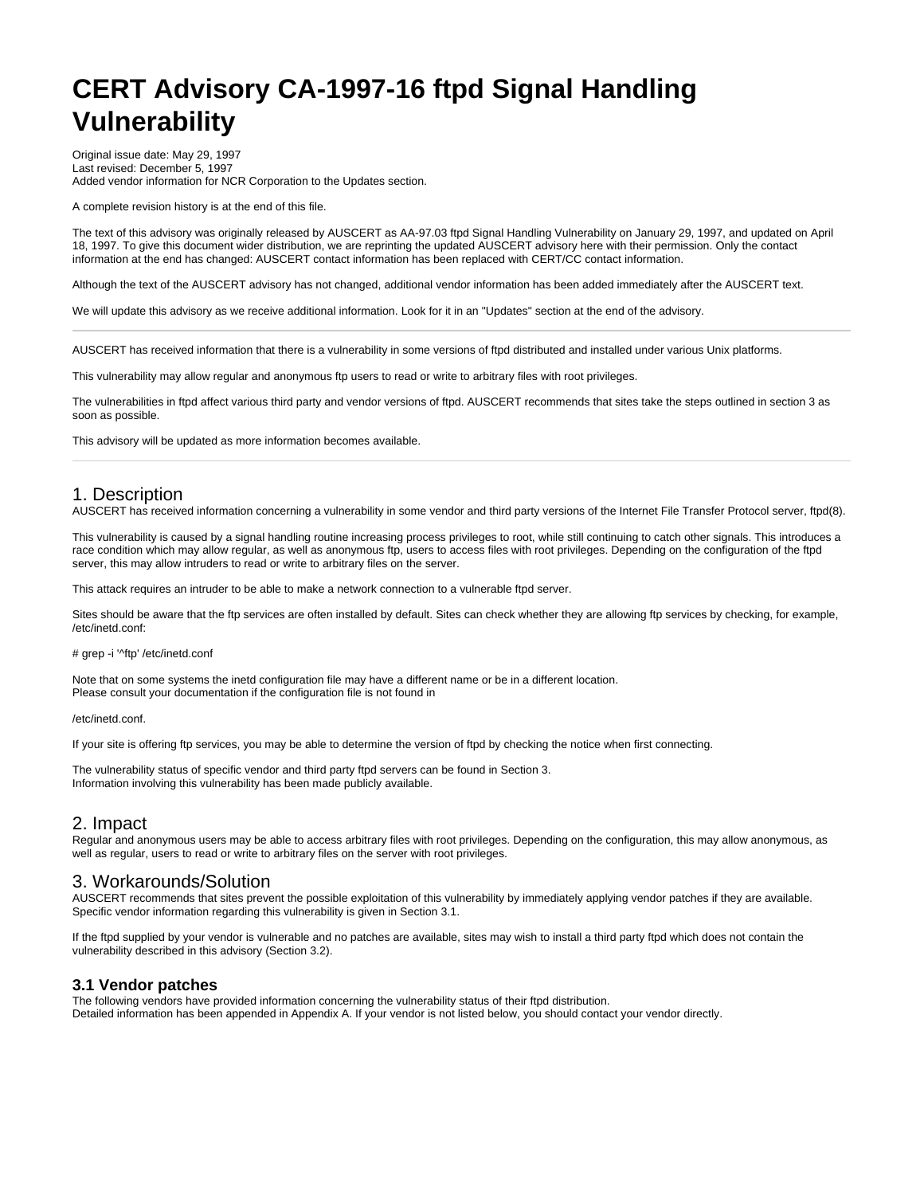# **CERT Advisory CA-1997-16 ftpd Signal Handling Vulnerability**

Original issue date: May 29, 1997 Last revised: December 5, 1997 Added vendor information for NCR Corporation to the Updates section.

A complete revision history is at the end of this file.

The text of this advisory was originally released by AUSCERT as AA-97.03 ftpd Signal Handling Vulnerability on January 29, 1997, and updated on April 18, 1997. To give this document wider distribution, we are reprinting the updated AUSCERT advisory here with their permission. Only the contact information at the end has changed: AUSCERT contact information has been replaced with CERT/CC contact information.

Although the text of the AUSCERT advisory has not changed, additional vendor information has been added immediately after the AUSCERT text.

We will update this advisory as we receive additional information. Look for it in an "Updates" section at the end of the advisory.

AUSCERT has received information that there is a vulnerability in some versions of ftpd distributed and installed under various Unix platforms.

This vulnerability may allow regular and anonymous ftp users to read or write to arbitrary files with root privileges.

The vulnerabilities in ftpd affect various third party and vendor versions of ftpd. AUSCERT recommends that sites take the steps outlined in section 3 as soon as possible.

This advisory will be updated as more information becomes available.

# 1. Description

AUSCERT has received information concerning a vulnerability in some vendor and third party versions of the Internet File Transfer Protocol server, ftpd(8).

This vulnerability is caused by a signal handling routine increasing process privileges to root, while still continuing to catch other signals. This introduces a race condition which may allow regular, as well as anonymous ftp, users to access files with root privileges. Depending on the configuration of the ftpd server, this may allow intruders to read or write to arbitrary files on the server.

This attack requires an intruder to be able to make a network connection to a vulnerable ftpd server.

Sites should be aware that the ftp services are often installed by default. Sites can check whether they are allowing ftp services by checking, for example, /etc/inetd.conf:

# grep -i '^ftp' /etc/inetd.conf

Note that on some systems the inetd configuration file may have a different name or be in a different location. Please consult your documentation if the configuration file is not found in

/etc/inetd.conf.

If your site is offering ftp services, you may be able to determine the version of ftpd by checking the notice when first connecting.

The vulnerability status of specific vendor and third party ftpd servers can be found in Section 3. Information involving this vulnerability has been made publicly available.

# 2. Impact

Regular and anonymous users may be able to access arbitrary files with root privileges. Depending on the configuration, this may allow anonymous, as well as regular, users to read or write to arbitrary files on the server with root privileges.

# 3. Workarounds/Solution

AUSCERT recommends that sites prevent the possible exploitation of this vulnerability by immediately applying vendor patches if they are available. Specific vendor information regarding this vulnerability is given in Section 3.1.

If the ftpd supplied by your vendor is vulnerable and no patches are available, sites may wish to install a third party ftpd which does not contain the vulnerability described in this advisory (Section 3.2).

# **3.1 Vendor patches**

The following vendors have provided information concerning the vulnerability status of their ftpd distribution. Detailed information has been appended in Appendix A. If your vendor is not listed below, you should contact your vendor directly.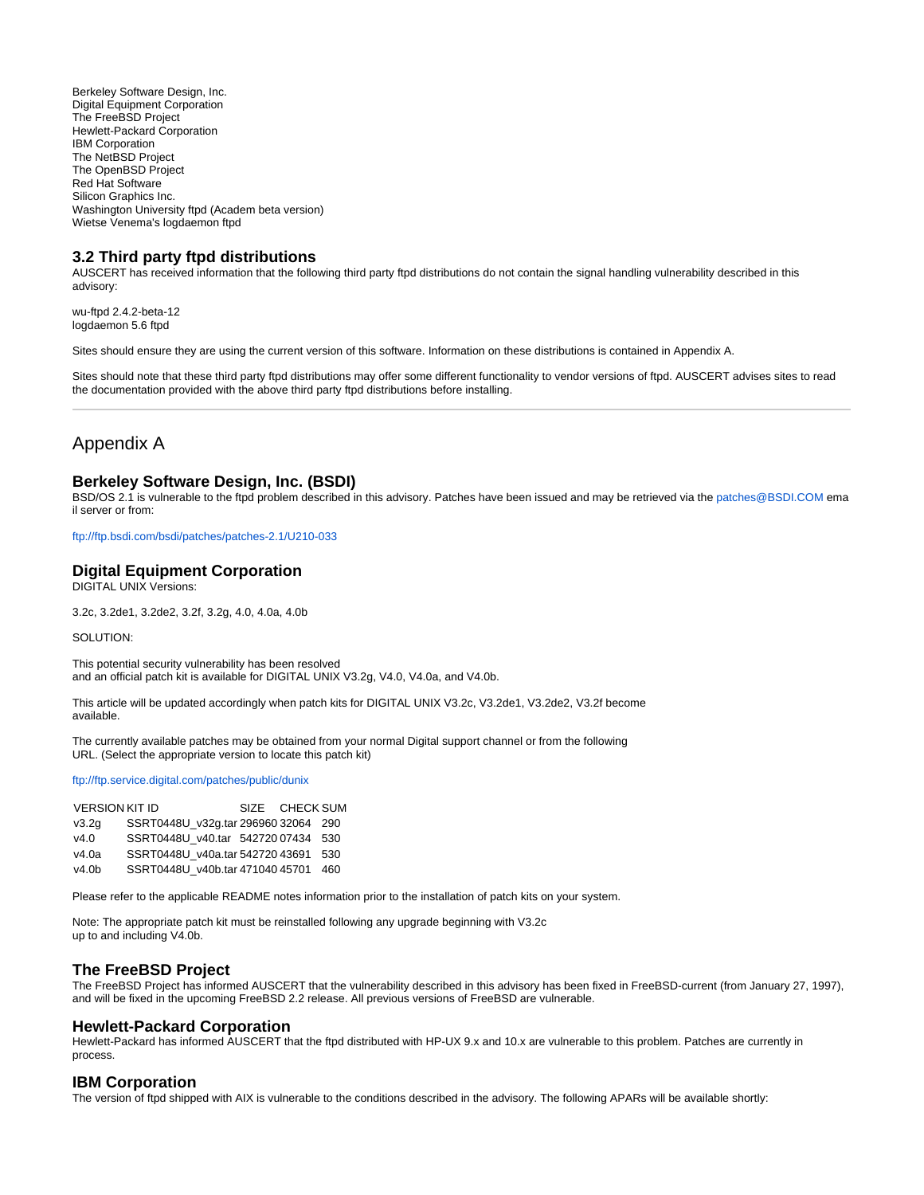Berkeley Software Design, Inc. Digital Equipment Corporation The FreeBSD Project Hewlett-Packard Corporation IBM Corporation The NetBSD Project The OpenBSD Project Red Hat Software Silicon Graphics Inc. Washington University ftpd (Academ beta version) Wietse Venema's logdaemon ftpd

# **3.2 Third party ftpd distributions**

AUSCERT has received information that the following third party ftpd distributions do not contain the signal handling vulnerability described in this advisory:

wu-ftpd 2.4.2-beta-12 logdaemon 5.6 ftpd

Sites should ensure they are using the current version of this software. Information on these distributions is contained in Appendix A.

Sites should note that these third party ftpd distributions may offer some different functionality to vendor versions of ftpd. AUSCERT advises sites to read the documentation provided with the above third party ftpd distributions before installing.

# Appendix A

#### **Berkeley Software Design, Inc. (BSDI)**

BSD/OS 2.1 is vulnerable to the ftpd problem described in this advisory. Patches have been issued and may be retrieved via the [patches@BSDI.COM e](mailto:patches@BSDI.COM)ma il server or from:

<ftp://ftp.bsdi.com/bsdi/patches/patches-2.1/U210-033>

### **Digital Equipment Corporation**

DIGITAL UNIX Versions:

3.2c, 3.2de1, 3.2de2, 3.2f, 3.2g, 4.0, 4.0a, 4.0b

SOLUTION:

This potential security vulnerability has been resolved and an official patch kit is available for DIGITAL UNIX V3.2g, V4.0, V4.0a, and V4.0b.

This article will be updated accordingly when patch kits for DIGITAL UNIX V3.2c, V3.2de1, V3.2de2, V3.2f become available.

The currently available patches may be obtained from your normal Digital support channel or from the following URL. (Select the appropriate version to locate this patch kit)

<ftp://ftp.service.digital.com/patches/public/dunix>

| <b>VERSION KIT ID</b> |                                     | SIZE CHECK SUM |     |
|-----------------------|-------------------------------------|----------------|-----|
| v3.2q                 | SSRT0448U_v32g.tar 296960 32064 290 |                |     |
| v4.0                  | SSRT0448U v40.tar 542720 07434 530  |                |     |
| v4.0a                 | SSRT0448U v40a.tar 542720 43691 530 |                |     |
| v4.0 <sub>b</sub>     | SSRT0448U v40b.tar 471040 45701     |                | 460 |

Please refer to the applicable README notes information prior to the installation of patch kits on your system.

Note: The appropriate patch kit must be reinstalled following any upgrade beginning with V3.2c up to and including V4.0b.

# **The FreeBSD Project**

The FreeBSD Project has informed AUSCERT that the vulnerability described in this advisory has been fixed in FreeBSD-current (from January 27, 1997), and will be fixed in the upcoming FreeBSD 2.2 release. All previous versions of FreeBSD are vulnerable.

#### **Hewlett-Packard Corporation**

Hewlett-Packard has informed AUSCERT that the ftpd distributed with HP-UX 9.x and 10.x are vulnerable to this problem. Patches are currently in process.

### **IBM Corporation**

The version of ftpd shipped with AIX is vulnerable to the conditions described in the advisory. The following APARs will be available shortly: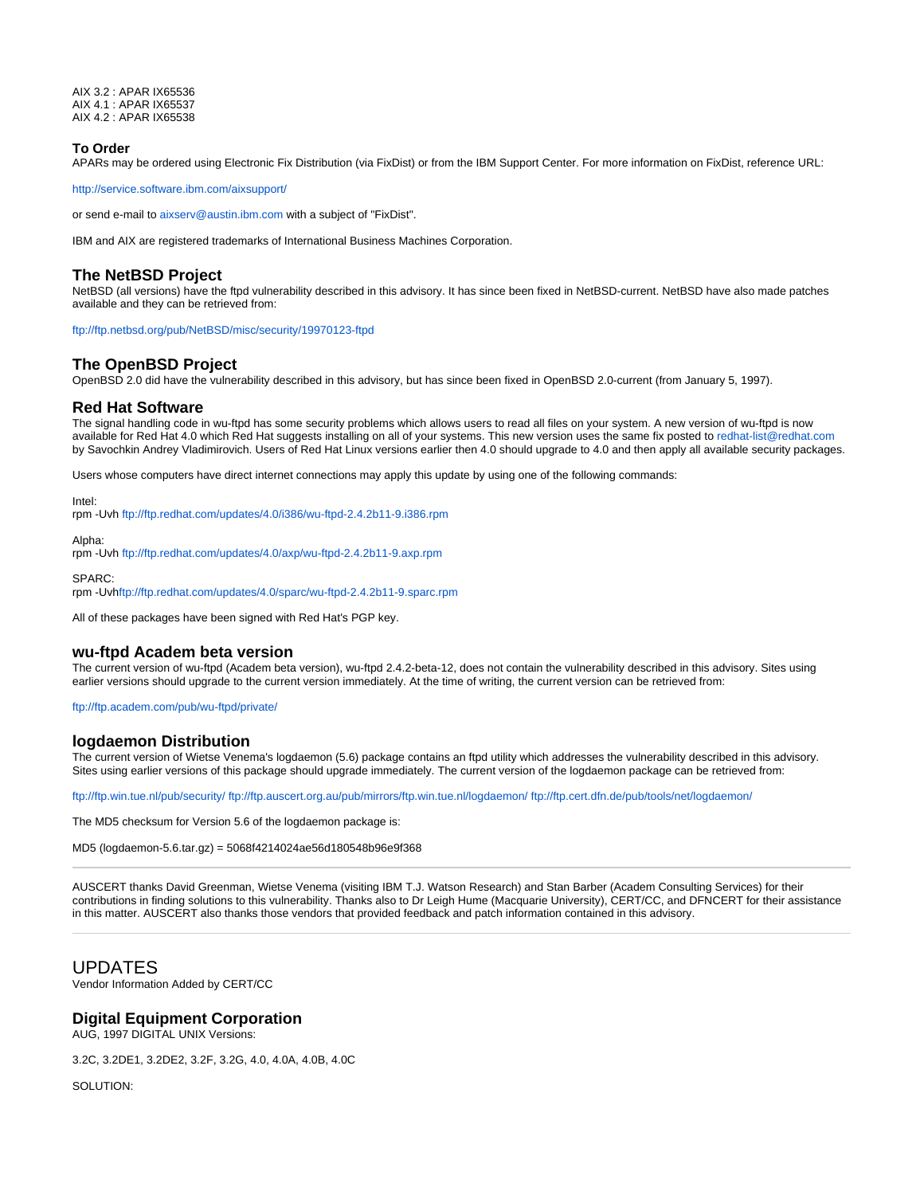AIX 3.2 : APAR IX65536 AIX 4.1 : APAR IX65537 AIX 4.2 : APAR IX65538

#### **To Order**

APARs may be ordered using Electronic Fix Distribution (via FixDist) or from the IBM Support Center. For more information on FixDist, reference URL:

<http://service.software.ibm.com/aixsupport/>

or send e-mail to [aixserv@austin.ibm.com](mailto:aixserv@austin.ibm.com) with a subject of "FixDist".

IBM and AIX are registered trademarks of International Business Machines Corporation.

#### **The NetBSD Project**

NetBSD (all versions) have the ftpd vulnerability described in this advisory. It has since been fixed in NetBSD-current. NetBSD have also made patches available and they can be retrieved from:

<ftp://ftp.netbsd.org/pub/NetBSD/misc/security/19970123-ftpd>

# **The OpenBSD Project**

OpenBSD 2.0 did have the vulnerability described in this advisory, but has since been fixed in OpenBSD 2.0-current (from January 5, 1997).

#### **Red Hat Software**

The signal handling code in wu-ftpd has some security problems which allows users to read all files on your system. A new version of wu-ftpd is now available for Red Hat 4.0 which Red Hat suggests installing on all of your systems. This new version uses the same fix posted to [redhat-list@redhat.com](mailto:redhat-list@redhat.com) by Savochkin Andrey Vladimirovich. Users of Red Hat Linux versions earlier then 4.0 should upgrade to 4.0 and then apply all available security packages.

Users whose computers have direct internet connections may apply this update by using one of the following commands:

Intel: rpm -Uvh <ftp://ftp.redhat.com/updates/4.0/i386/wu-ftpd-2.4.2b11-9.i386.rpm>

Alpha:

rpm -Uvh <ftp://ftp.redhat.com/updates/4.0/axp/wu-ftpd-2.4.2b11-9.axp.rpm>

SPARC:

rpm -Uvh<ftp://ftp.redhat.com/updates/4.0/sparc/wu-ftpd-2.4.2b11-9.sparc.rpm>

All of these packages have been signed with Red Hat's PGP key.

#### **wu-ftpd Academ beta version**

The current version of wu-ftpd (Academ beta version), wu-ftpd 2.4.2-beta-12, does not contain the vulnerability described in this advisory. Sites using earlier versions should upgrade to the current version immediately. At the time of writing, the current version can be retrieved from:

<ftp://ftp.academ.com/pub/wu-ftpd/private/>

#### **logdaemon Distribution**

The current version of Wietse Venema's logdaemon (5.6) package contains an ftpd utility which addresses the vulnerability described in this advisory. Sites using earlier versions of this package should upgrade immediately. The current version of the logdaemon package can be retrieved from:

<ftp://ftp.win.tue.nl/pub/security/> <ftp://ftp.auscert.org.au/pub/mirrors/ftp.win.tue.nl/logdaemon/> <ftp://ftp.cert.dfn.de/pub/tools/net/logdaemon/>

The MD5 checksum for Version 5.6 of the logdaemon package is:

MD5 (logdaemon-5.6.tar.gz) = 5068f4214024ae56d180548b96e9f368

AUSCERT thanks David Greenman, Wietse Venema (visiting IBM T.J. Watson Research) and Stan Barber (Academ Consulting Services) for their contributions in finding solutions to this vulnerability. Thanks also to Dr Leigh Hume (Macquarie University), CERT/CC, and DFNCERT for their assistance in this matter. AUSCERT also thanks those vendors that provided feedback and patch information contained in this advisory.

# UPDATES

Vendor Information Added by CERT/CC

#### **Digital Equipment Corporation**

AUG, 1997 DIGITAL UNIX Versions:

3.2C, 3.2DE1, 3.2DE2, 3.2F, 3.2G, 4.0, 4.0A, 4.0B, 4.0C

SOLUTION: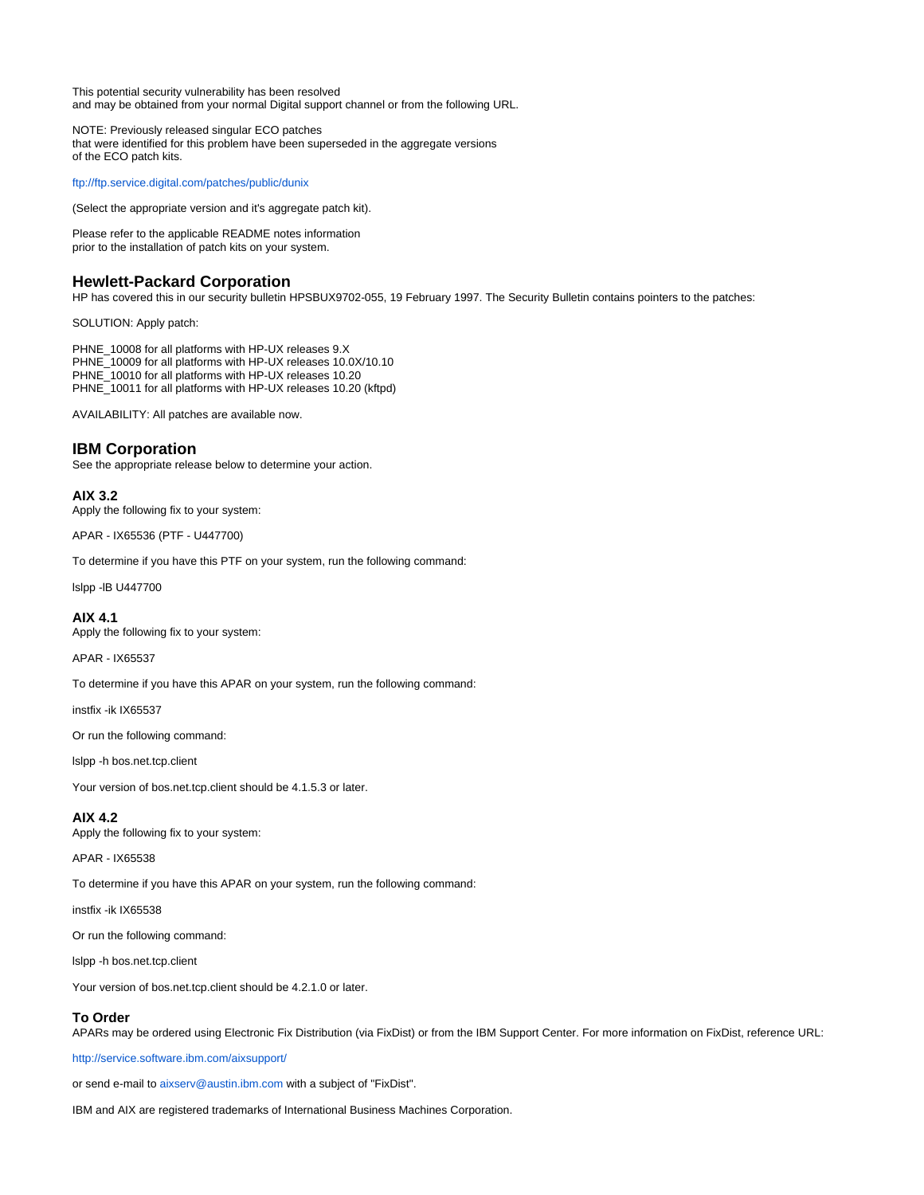This potential security vulnerability has been resolved and may be obtained from your normal Digital support channel or from the following URL.

NOTE: Previously released singular ECO patches that were identified for this problem have been superseded in the aggregate versions of the ECO patch kits.

<ftp://ftp.service.digital.com/patches/public/dunix>

(Select the appropriate version and it's aggregate patch kit).

Please refer to the applicable README notes information prior to the installation of patch kits on your system.

# **Hewlett-Packard Corporation**

HP has covered this in our security bulletin HPSBUX9702-055, 19 February 1997. The Security Bulletin contains pointers to the patches:

SOLUTION: Apply patch:

PHNE\_10008 for all platforms with HP-UX releases 9.X PHNE\_10009 for all platforms with HP-UX releases 10.0X/10.10 PHNE\_10010 for all platforms with HP-UX releases 10.20 PHNE\_10011 for all platforms with HP-UX releases 10.20 (kftpd)

AVAILABILITY: All patches are available now.

#### **IBM Corporation**

See the appropriate release below to determine your action.

#### **AIX 3.2**

Apply the following fix to your system:

APAR - IX65536 (PTF - U447700)

To determine if you have this PTF on your system, run the following command:

lslpp -lB U447700

**AIX 4.1** Apply the following fix to your system:

APAR - IX65537

To determine if you have this APAR on your system, run the following command:

instfix -ik IX65537

Or run the following command:

lslpp -h bos.net.tcp.client

Your version of bos.net.tcp.client should be 4.1.5.3 or later.

**AIX 4.2** Apply the following fix to your system:

APAR - IX65538

To determine if you have this APAR on your system, run the following command:

instfix -ik IX65538

Or run the following command:

lslpp -h bos.net.tcp.client

Your version of bos.net.tcp.client should be 4.2.1.0 or later.

# **To Order**

APARs may be ordered using Electronic Fix Distribution (via FixDist) or from the IBM Support Center. For more information on FixDist, reference URL:

<http://service.software.ibm.com/aixsupport/>

or send e-mail to [aixserv@austin.ibm.com](mailto:aixserv@austin.ibm.com) with a subject of "FixDist".

IBM and AIX are registered trademarks of International Business Machines Corporation.